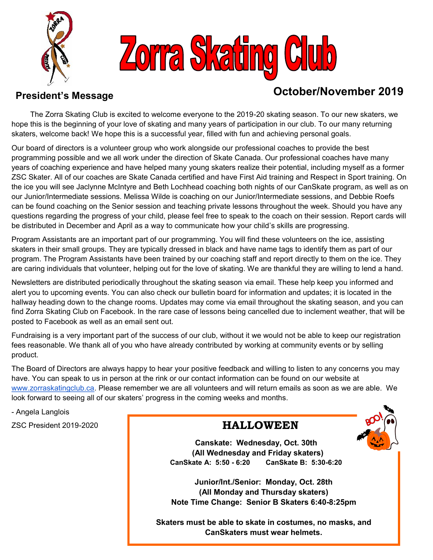



# **President's Message Contract Contract Contract Contract Contract Contract Contract Contract Contract Contract Contract Contract Contract Contract Contract Contract Contract Contract Contract Contract Contract Contract Con**

 The Zorra Skating Club is excited to welcome everyone to the 2019-20 skating season. To our new skaters, we hope this is the beginning of your love of skating and many years of participation in our club. To our many returning skaters, welcome back! We hope this is a successful year, filled with fun and achieving personal goals.

Our board of directors is a volunteer group who work alongside our professional coaches to provide the best programming possible and we all work under the direction of Skate Canada. Our professional coaches have many years of coaching experience and have helped many young skaters realize their potential, including myself as a former ZSC Skater. All of our coaches are Skate Canada certified and have First Aid training and Respect in Sport training. On the ice you will see Jaclynne McIntyre and Beth Lochhead coaching both nights of our CanSkate program, as well as on our Junior/Intermediate sessions. Melissa Wilde is coaching on our Junior/Intermediate sessions, and Debbie Roefs can be found coaching on the Senior session and teaching private lessons throughout the week. Should you have any questions regarding the progress of your child, please feel free to speak to the coach on their session. Report cards will be distributed in December and April as a way to communicate how your child's skills are progressing.

Program Assistants are an important part of our programming. You will find these volunteers on the ice, assisting skaters in their small groups. They are typically dressed in black and have name tags to identify them as part of our program. The Program Assistants have been trained by our coaching staff and report directly to them on the ice. They are caring individuals that volunteer, helping out for the love of skating. We are thankful they are willing to lend a hand.

Newsletters are distributed periodically throughout the skating season via email. These help keep you informed and alert you to upcoming events. You can also check our bulletin board for information and updates; it is located in the hallway heading down to the change rooms. Updates may come via email throughout the skating season, and you can find Zorra Skating Club on Facebook. In the rare case of lessons being cancelled due to inclement weather, that will be posted to Facebook as well as an email sent out.

Fundraising is a very important part of the success of our club, without it we would not be able to keep our registration fees reasonable. We thank all of you who have already contributed by working at community events or by selling product.

The Board of Directors are always happy to hear your positive feedback and willing to listen to any concerns you may have. You can speak to us in person at the rink or our contact information can be found on our website at [www.zorraskatingclub.ca.](http://www.zorraskatingclub.ca) Please remember we are all volunteers and will return emails as soon as we are able. We look forward to seeing all of our skaters' progress in the coming weeks and months.

- Angela Langlois

ZSC President 2019-2020

## **HALLOWEEN**

 **Canskate: Wednesday, Oct. 30th (All Wednesday and Friday skaters) CanSkate A: 5:50 - 6:20 CanSkate B: 5:30-6:20**

**Junior/Int./Senior: Monday, Oct. 28th (All Monday and Thursday skaters) Note Time Change: Senior B Skaters 6:40-8:25pm**

**Skaters must be able to skate in costumes, no masks, and CanSkaters must wear helmets.**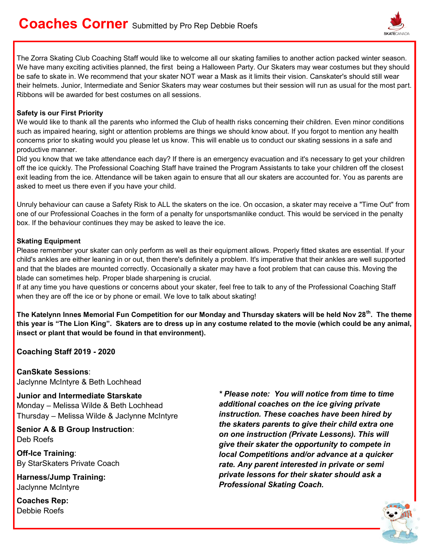

The Zorra Skating Club Coaching Staff would like to welcome all our skating families to another action packed winter season. We have many exciting activities planned, the first being a Halloween Party. Our Skaters may wear costumes but they should be safe to skate in. We recommend that your skater NOT wear a Mask as it limits their vision. Canskater's should still wear their helmets. Junior, Intermediate and Senior Skaters may wear costumes but their session will run as usual for the most part. Ribbons will be awarded for best costumes on all sessions.

#### **Safety is our First Priority**

We would like to thank all the parents who informed the Club of health risks concerning their children. Even minor conditions such as impaired hearing, sight or attention problems are things we should know about. If you forgot to mention any health concerns prior to skating would you please let us know. This will enable us to conduct our skating sessions in a safe and productive manner.

Did you know that we take attendance each day? If there is an emergency evacuation and it's necessary to get your children off the ice quickly. The Professional Coaching Staff have trained the Program Assistants to take your children off the closest exit leading from the ice. Attendance will be taken again to ensure that all our skaters are accounted for. You as parents are asked to meet us there even if you have your child.

Unruly behaviour can cause a Safety Risk to ALL the skaters on the ice. On occasion, a skater may receive a "Time Out" from one of our Professional Coaches in the form of a penalty for unsportsmanlike conduct. This would be serviced in the penalty box. If the behaviour continues they may be asked to leave the ice.

#### **Skating Equipment**

Please remember your skater can only perform as well as their equipment allows. Properly fitted skates are essential. If your child's ankles are either leaning in or out, then there's definitely a problem. It's imperative that their ankles are well supported and that the blades are mounted correctly. Occasionally a skater may have a foot problem that can cause this. Moving the blade can sometimes help. Proper blade sharpening is crucial.

If at any time you have questions or concerns about your skater, feel free to talk to any of the Professional Coaching Staff when they are off the ice or by phone or email. We love to talk about skating!

**The Katelynn Innes Memorial Fun Competition for our Monday and Thursday skaters will be held Nov 28th. The theme this year is "The Lion King". Skaters are to dress up in any costume related to the movie (which could be any animal, insect or plant that would be found in that environment).** 

**Coaching Staff 2019 - 2020**

**CanSkate Sessions**: Jaclynne McIntyre & Beth Lochhead

**Junior and Intermediate Starskate**  Monday – Melissa Wilde & Beth Lochhead Thursday – Melissa Wilde & Jaclynne McIntyre

**Senior A & B Group Instruction**: Deb Roefs

**Off-Ice Training**: By StarSkaters Private Coach

**Harness/Jump Training:**  Jaclynne McIntyre

**Coaches Rep:** Debbie Roefs

*\* Please note: You will notice from time to time additional coaches on the ice giving private instruction. These coaches have been hired by the skaters parents to give their child extra one on one instruction (Private Lessons). This will give their skater the opportunity to compete in local Competitions and/or advance at a quicker rate. Any parent interested in private or semi private lessons for their skater should ask a Professional Skating Coach.*